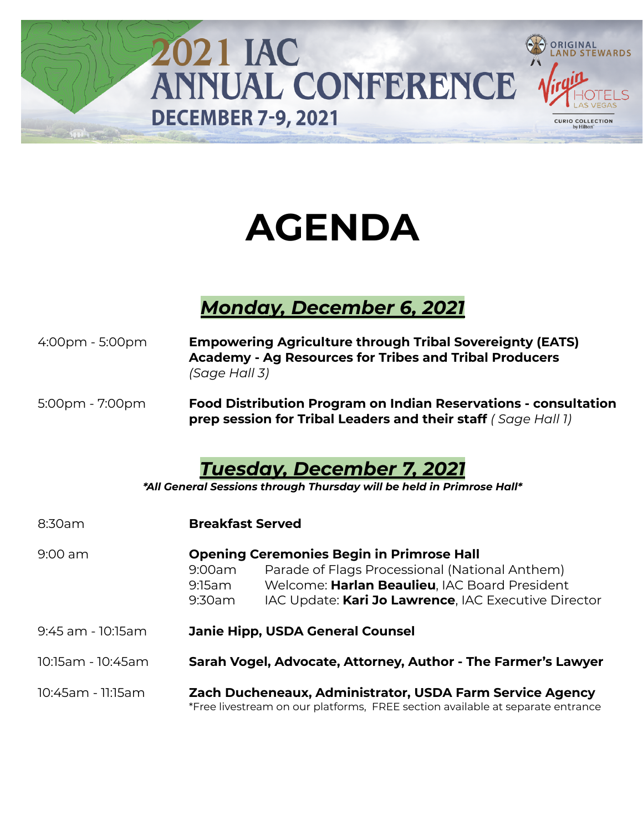

# **AGENDA**

## *Monday, December 6, 2021*

| $4:00 \text{pm} - 5:00 \text{pm}$ | (Sage Hall 3)              | <b>Empowering Agriculture through Tribal Sovereignty (EATS)</b><br><b>Academy - Ag Resources for Tribes and Tribal Producers</b>                                                                            |
|-----------------------------------|----------------------------|-------------------------------------------------------------------------------------------------------------------------------------------------------------------------------------------------------------|
| $5:00$ pm - $7:00$ pm             |                            | <b>Food Distribution Program on Indian Reservations - consultation</b><br>prep session for Tribal Leaders and their staff (Sage Hall 1)                                                                     |
|                                   |                            | Tuesday, December 7, 2021<br>*All General Sessions through Thursday will be held in Primrose Hall*                                                                                                          |
| 8:30am                            | <b>Breakfast Served</b>    |                                                                                                                                                                                                             |
| $9:00$ am                         | 9:00am<br>9:15am<br>9:30am | <b>Opening Ceremonies Begin in Primrose Hall</b><br>Parade of Flags Processional (National Anthem)<br>Welcome: Harlan Beaulieu, IAC Board President<br>IAC Update: Kari Jo Lawrence, IAC Executive Director |
| 9:45 am - 10:15 am                |                            | <b>Janie Hipp, USDA General Counsel</b>                                                                                                                                                                     |
| 10:15am - 10:45am                 |                            | Sarah Vogel, Advocate, Attorney, Author - The Farmer's Lawyer                                                                                                                                               |
| 10:45am - 11:15am                 |                            | Zach Ducheneaux, Administrator, USDA Farm Service Agency<br>*Free livestream on our platforms, FREE section available at separate entrance                                                                  |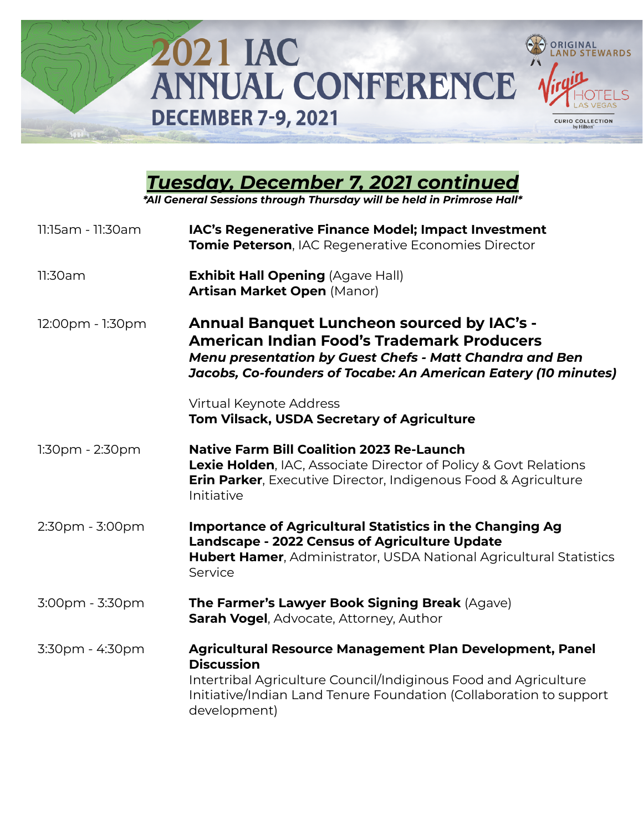

| 11:15am - 11:30am | IAC's Regenerative Finance Model; Impact Investment<br>Tomie Peterson, IAC Regenerative Economies Director                                                                                                                             |
|-------------------|----------------------------------------------------------------------------------------------------------------------------------------------------------------------------------------------------------------------------------------|
| 11:30am           | <b>Exhibit Hall Opening (Agave Hall)</b><br><b>Artisan Market Open (Manor)</b>                                                                                                                                                         |
| 12:00pm - 1:30pm  | <b>Annual Banquet Luncheon sourced by IAC's -</b><br><b>American Indian Food's Trademark Producers</b><br>Menu presentation by Guest Chefs - Matt Chandra and Ben<br>Jacobs, Co-founders of Tocabe: An American Eatery (10 minutes)    |
|                   | Virtual Keynote Address<br><b>Tom Vilsack, USDA Secretary of Agriculture</b>                                                                                                                                                           |
| $1:30pm - 2:30pm$ | <b>Native Farm Bill Coalition 2023 Re-Launch</b><br><b>Lexie Holden, IAC, Associate Director of Policy &amp; Govt Relations</b><br><b>Erin Parker, Executive Director, Indigenous Food &amp; Agriculture</b><br>Initiative             |
| 2:30pm - 3:00pm   | Importance of Agricultural Statistics in the Changing Ag<br><b>Landscape - 2022 Census of Agriculture Update</b><br><b>Hubert Hamer, Administrator, USDA National Agricultural Statistics</b><br>Service                               |
| 3:00pm - 3:30pm   | The Farmer's Lawyer Book Signing Break (Agave)<br>Sarah Vogel, Advocate, Attorney, Author                                                                                                                                              |
| 3:30pm - 4:30pm   | Agricultural Resource Management Plan Development, Panel<br><b>Discussion</b><br>Intertribal Agriculture Council/Indiginous Food and Agriculture<br>Initiative/Indian Land Tenure Foundation (Collaboration to support<br>development) |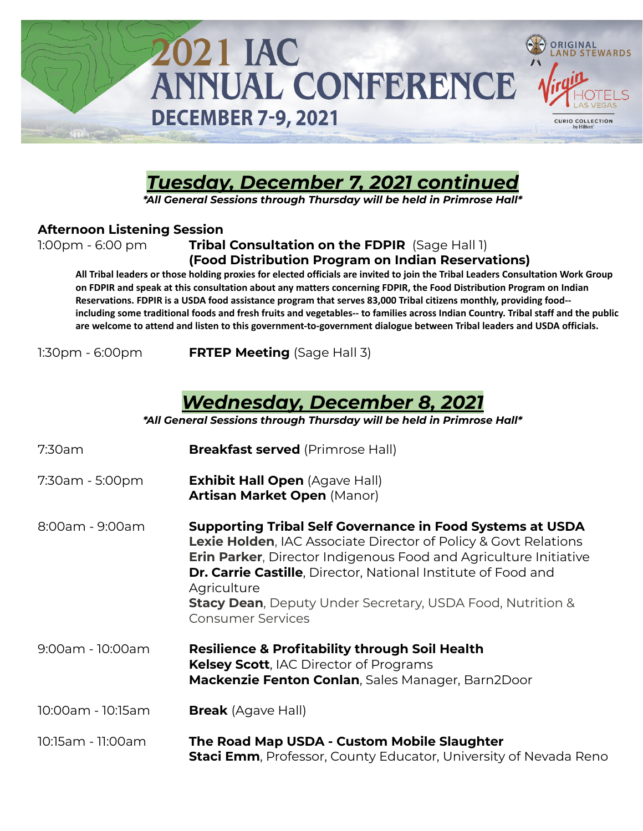

## *Tuesday, December 7, 2021 continued*

*\*All General Sessions through Thursday will be held in Primrose Hall\**

#### **Afternoon Listening Session**

### 1:00pm - 6:00 pm **Tribal Consultation on the FDPIR** (Sage Hall 1) **(Food Distribution Program on Indian Reservations)**

All Tribal leaders or those holding proxies for elected officials are invited to join the Tribal Leaders Consultation Work Group on FDPIR and speak at this consultation about any matters concerning FDPIR, the Food Distribution Program on Indian Reservations. FDPIR is a USDA food assistance program that serves 83,000 Tribal citizens monthly, providing food-including some traditional foods and fresh fruits and vegetables-- to families across Indian Country. Tribal staff and the public are welcome to attend and listen to this government-to-government dialogue between Tribal leaders and USDA officials.

1:30pm - 6:00pm **FRTEP Meeting** (Sage Hall 3)

## *Wednesday, December 8, 2021*

| 7:30am            | <b>Breakfast served</b> (Primrose Hall)                                                                                                                                                                                                                                                                                                                                                                               |
|-------------------|-----------------------------------------------------------------------------------------------------------------------------------------------------------------------------------------------------------------------------------------------------------------------------------------------------------------------------------------------------------------------------------------------------------------------|
| 7:30am - 5:00pm   | <b>Exhibit Hall Open (Agave Hall)</b><br><b>Artisan Market Open (Manor)</b>                                                                                                                                                                                                                                                                                                                                           |
| 8:00am - 9:00am   | <b>Supporting Tribal Self Governance in Food Systems at USDA</b><br><b>Lexie Holden, IAC Associate Director of Policy &amp; Govt Relations</b><br><b>Erin Parker, Director Indigenous Food and Agriculture Initiative</b><br><b>Dr. Carrie Castille, Director, National Institute of Food and</b><br>Agriculture<br><b>Stacy Dean, Deputy Under Secretary, USDA Food, Nutrition &amp;</b><br><b>Consumer Services</b> |
| 9:00am - 10:00am  | <b>Resilience &amp; Profitability through Soil Health</b><br>Kelsey Scott, IAC Director of Programs<br>Mackenzie Fenton Conlan, Sales Manager, Barn2Door                                                                                                                                                                                                                                                              |
| 10:00am - 10:15am | <b>Break</b> (Agave Hall)                                                                                                                                                                                                                                                                                                                                                                                             |
| 10:15am - 11:00am | The Road Map USDA - Custom Mobile Slaughter<br><b>Staci Emm</b> , Professor, County Educator, University of Nevada Reno                                                                                                                                                                                                                                                                                               |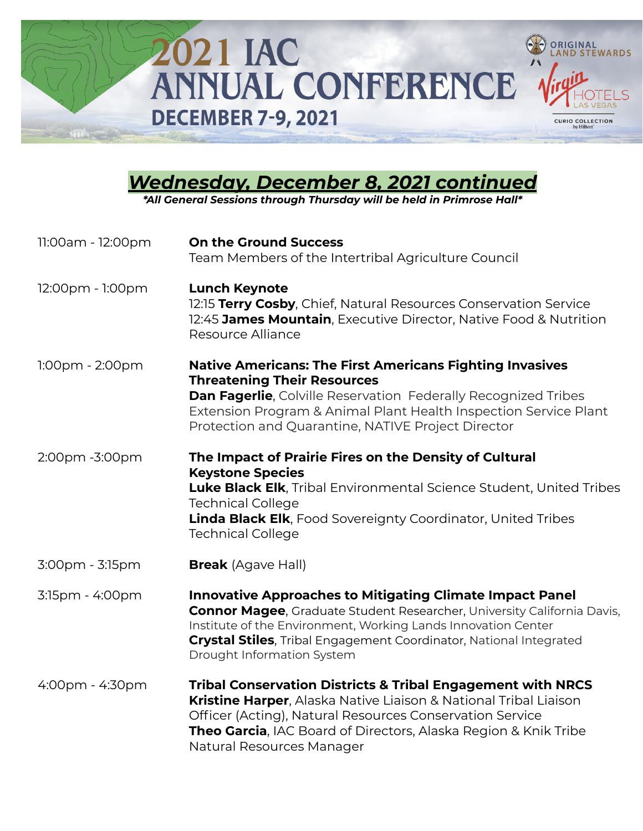

## *Wednesday, December 8, 2021 continued*

| 11:00am - 12:00pm  | <b>On the Ground Success</b><br>Team Members of the Intertribal Agriculture Council                                                                                                                                                                                                                                           |
|--------------------|-------------------------------------------------------------------------------------------------------------------------------------------------------------------------------------------------------------------------------------------------------------------------------------------------------------------------------|
| 12:00pm - 1:00pm   | <b>Lunch Keynote</b><br>12:15 Terry Cosby, Chief, Natural Resources Conservation Service<br>12:45 James Mountain, Executive Director, Native Food & Nutrition<br>Resource Alliance                                                                                                                                            |
| $1:00$ pm - 2:00pm | <b>Native Americans: The First Americans Fighting Invasives</b><br><b>Threatening Their Resources</b><br><b>Dan Fagerlie, Colville Reservation Federally Recognized Tribes</b><br>Extension Program & Animal Plant Health Inspection Service Plant<br>Protection and Quarantine, NATIVE Project Director                      |
| 2:00pm -3:00pm     | The Impact of Prairie Fires on the Density of Cultural<br><b>Keystone Species</b><br>Luke Black Elk, Tribal Environmental Science Student, United Tribes<br><b>Technical College</b><br><b>Linda Black Elk</b> , Food Sovereignty Coordinator, United Tribes<br><b>Technical College</b>                                      |
| 3:00pm - 3:15pm    | <b>Break</b> (Agave Hall)                                                                                                                                                                                                                                                                                                     |
| 3:15pm - 4:00pm    | <b>Innovative Approaches to Mitigating Climate Impact Panel</b><br><b>Connor Magee, Graduate Student Researcher, University California Davis,</b><br>Institute of the Environment, Working Lands Innovation Center<br><b>Crystal Stiles, Tribal Engagement Coordinator, National Integrated</b><br>Drought Information System |
| 4:00pm - 4:30pm    | <b>Tribal Conservation Districts &amp; Tribal Engagement with NRCS</b><br>Kristine Harper, Alaska Native Liaison & National Tribal Liaison<br>Officer (Acting), Natural Resources Conservation Service<br><b>Theo Garcia, IAC Board of Directors, Alaska Region &amp; Knik Tribe</b><br>Natural Resources Manager             |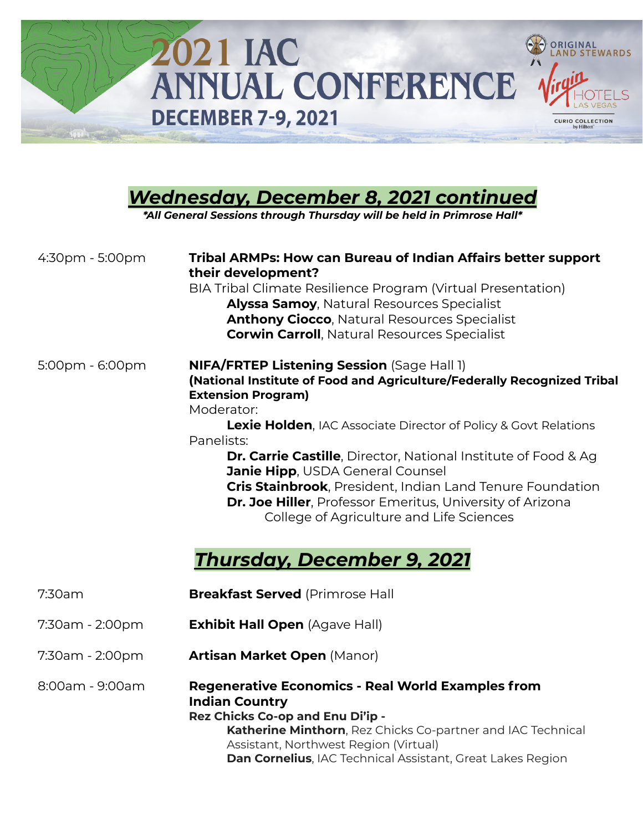

| <u> Wednesday, December 8, 2021 continued</u><br>*All General Sessions through Thursday will be held in Primrose Hall* |                                                                                                                                                                                                                                                                                                                                                                                                                                                                                                                                                                                                     |  |
|------------------------------------------------------------------------------------------------------------------------|-----------------------------------------------------------------------------------------------------------------------------------------------------------------------------------------------------------------------------------------------------------------------------------------------------------------------------------------------------------------------------------------------------------------------------------------------------------------------------------------------------------------------------------------------------------------------------------------------------|--|
| 4:30pm - 5:00pm                                                                                                        | <b>Tribal ARMPs: How can Bureau of Indian Affairs better support</b><br>their development?<br>BIA Tribal Climate Resilience Program (Virtual Presentation)<br><b>Alyssa Samoy, Natural Resources Specialist</b><br><b>Anthony Ciocco, Natural Resources Specialist</b><br><b>Corwin Carroll, Natural Resources Specialist</b>                                                                                                                                                                                                                                                                       |  |
| 5:00pm - 6:00pm                                                                                                        | <b>NIFA/FRTEP Listening Session</b> (Sage Hall 1)<br>(National Institute of Food and Agriculture/Federally Recognized Tribal<br><b>Extension Program)</b><br>Moderator:<br>Lexie Holden, IAC Associate Director of Policy & Govt Relations<br>Panelists:<br><b>Dr. Carrie Castille, Director, National Institute of Food &amp; Ag</b><br><b>Janie Hipp, USDA General Counsel</b><br>Cris Stainbrook, President, Indian Land Tenure Foundation<br><b>Dr. Joe Hiller</b> , Professor Emeritus, University of Arizona<br>College of Agriculture and Life Sciences<br><b>Thursday, December 9, 2021</b> |  |
| 7:30am                                                                                                                 | <b>Breakfast Served (Primrose Hall</b>                                                                                                                                                                                                                                                                                                                                                                                                                                                                                                                                                              |  |
| 7:30am - 2:00pm                                                                                                        | <b>Exhibit Hall Open</b> (Agave Hall)                                                                                                                                                                                                                                                                                                                                                                                                                                                                                                                                                               |  |
| 7:30am - 2:00pm                                                                                                        | <b>Artisan Market Open (Manor)</b>                                                                                                                                                                                                                                                                                                                                                                                                                                                                                                                                                                  |  |
| 8:00am - 9:00am                                                                                                        | <b>Regenerative Economics - Real World Examples from</b><br><b>Indian Country</b><br>Rez Chicks Co-op and Enu Di'ip -<br>Katherine Minthorn, Rez Chicks Co-partner and IAC Technical                                                                                                                                                                                                                                                                                                                                                                                                                |  |

Assistant, Northwest Region (Virtual) **Dan Cornelius**, IAC Technical Assistant, Great Lakes Region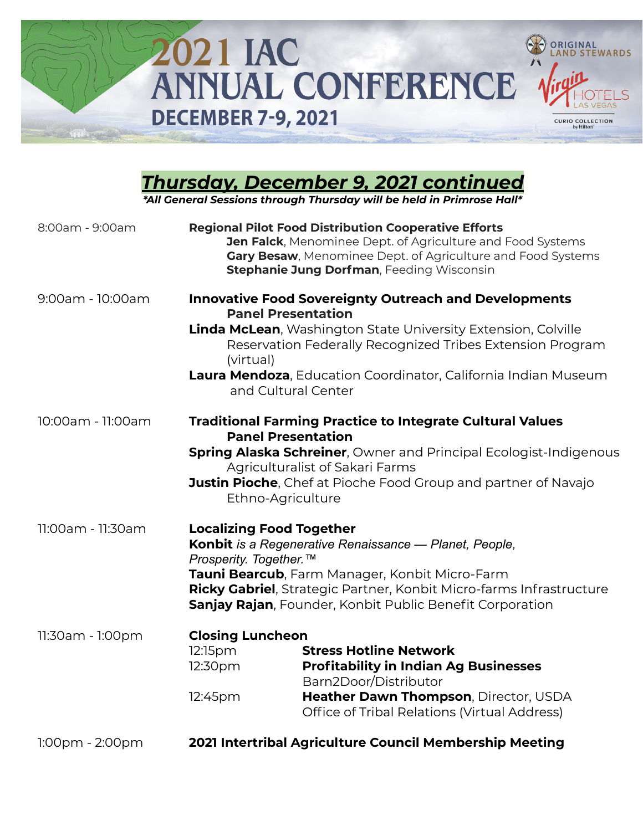

## *Thursday, December 9, 2021 continued*

| 8:00am - 9:00am       | <b>Regional Pilot Food Distribution Cooperative Efforts</b><br>Jen Falck, Menominee Dept. of Agriculture and Food Systems<br>Gary Besaw, Menominee Dept. of Agriculture and Food Systems<br><b>Stephanie Jung Dorfman, Feeding Wisconsin</b>                                                                                          |
|-----------------------|---------------------------------------------------------------------------------------------------------------------------------------------------------------------------------------------------------------------------------------------------------------------------------------------------------------------------------------|
| 9:00am - 10:00am      | <b>Innovative Food Sovereignty Outreach and Developments</b><br><b>Panel Presentation</b><br><b>Linda McLean</b> , Washington State University Extension, Colville<br>Reservation Federally Recognized Tribes Extension Program<br>(virtual)<br>Laura Mendoza, Education Coordinator, California Indian Museum<br>and Cultural Center |
| 10:00am - 11:00am     | <b>Traditional Farming Practice to Integrate Cultural Values</b><br><b>Panel Presentation</b><br><b>Spring Alaska Schreiner, Owner and Principal Ecologist-Indigenous</b><br>Agriculturalist of Sakari Farms<br><b>Justin Pioche</b> , Chef at Pioche Food Group and partner of Navajo<br>Ethno-Agriculture                           |
| 11:00am - 11:30am     | <b>Localizing Food Together</b><br>Konbit is a Regenerative Renaissance - Planet, People,<br>Prosperity. Together. <sup>™</sup><br>Tauni Bearcub, Farm Manager, Konbit Micro-Farm<br>Ricky Gabriel, Strategic Partner, Konbit Micro-farms Infrastructure<br>Sanjay Rajan, Founder, Konbit Public Benefit Corporation                  |
| 11:30am - 1:00pm      | <b>Closing Luncheon</b><br>12:15pm<br><b>Stress Hotline Network</b><br>12:30pm<br><b>Profitability in Indian Ag Businesses</b><br>Barn2Door/Distributor<br>Heather Dawn Thompson, Director, USDA<br>12:45pm<br>Office of Tribal Relations (Virtual Address)                                                                           |
| $1:00$ pm - $2:00$ pm | 2021 Intertribal Agriculture Council Membership Meeting                                                                                                                                                                                                                                                                               |